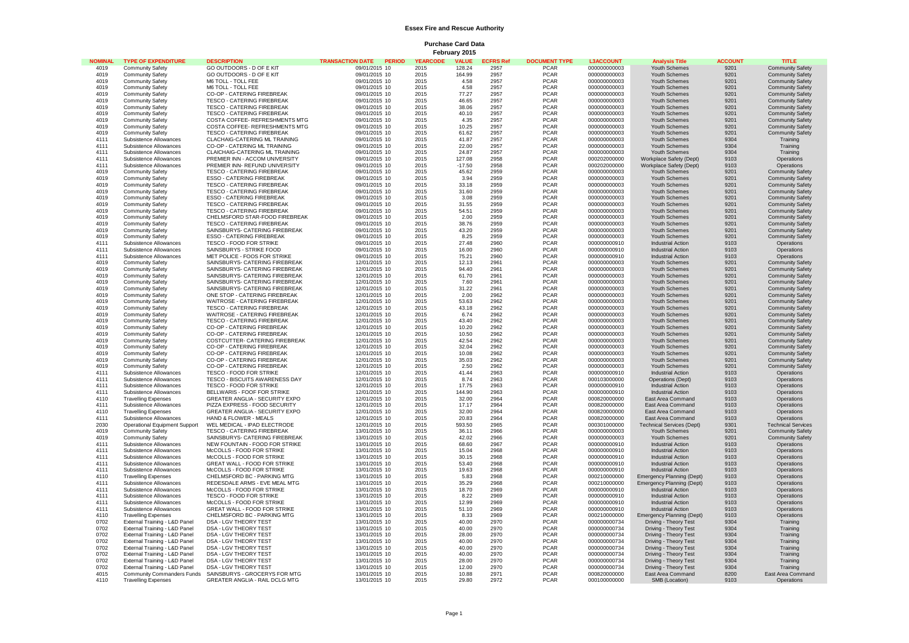## **Essex Fire and Rescue Authority**

**Purchase Card Data February 2015**

| <b>NOMINAL</b> | <b>TYPE OF EXPENDITURE</b>    | <b>DESCRIPTION</b>                    | TRANSACTION DATE PERIOD | <b>YEARCODE</b> | <b>VALUE</b> | <b>ECFRS Ref</b> | <b>DOCUMENT TYPE</b> | <b>L3ACCOUNT</b> | <b>Analysis Title</b>            | <b>ACCOUNT</b> | <b>TITLE</b>              |
|----------------|-------------------------------|---------------------------------------|-------------------------|-----------------|--------------|------------------|----------------------|------------------|----------------------------------|----------------|---------------------------|
| 4019           |                               |                                       |                         |                 |              |                  |                      | 000000000003     |                                  |                |                           |
|                | <b>Community Safety</b>       | GO OUTDOORS - D OF E KIT              | 09/01/2015 10           | 2015            | 128.24       | 2957             | <b>PCAR</b>          |                  | Youth Schemes                    | 9201           | <b>Community Safety</b>   |
| 4019           | <b>Community Safety</b>       | GO OUTDOORS - D OF E KIT              | 09/01/2015 10           | 2015            | 164.99       | 2957             | <b>PCAR</b>          | 000000000003     | Youth Schemes                    | 9201           | <b>Community Safety</b>   |
| 4019           | <b>Community Safety</b>       | M6 TOLL - TOLL FEE                    | 09/01/2015 10           | 2015            | 4.58         | 2957             | <b>PCAR</b>          | 000000000003     | Youth Schemes                    | 9201           | <b>Community Safety</b>   |
| 4019           | <b>Community Safety</b>       | M6 TOLL - TOLL FEE                    | 09/01/2015 10           | 2015            | 4.58         | 2957             | <b>PCAR</b>          | 000000000003     | Youth Schemes                    | 9201           | <b>Community Safety</b>   |
| 4019           | <b>Community Safety</b>       | CO-OP - CATERING FIREBREAK            | 09/01/2015 10           | 2015            | 77.27        | 2957             | <b>PCAR</b>          | 000000000003     | Youth Schemes                    | 9201           | <b>Community Safety</b>   |
| 4019           | <b>Community Safety</b>       | <b>TESCO - CATERING FIREBREAK</b>     | 09/01/2015 10           | 2015            | 46.65        | 2957             | <b>PCAR</b>          | 000000000003     | Youth Schemes                    | 9201           | <b>Community Safety</b>   |
| 4019           | <b>Community Safety</b>       | TESCO - CATERING FIREBREAK            | 09/01/2015 10           | 2015            | 38.06        | 2957             | <b>PCAR</b>          | 000000000003     | Youth Schemes                    | 9201           | <b>Community Safety</b>   |
| 4019           | <b>Community Safety</b>       | TESCO - CATERING FIREBREAK            | 09/01/2015 10           | 2015            | 40.10        | 2957             | <b>PCAR</b>          | 000000000003     | Youth Schemes                    | 9201           | <b>Community Safety</b>   |
| 4019           | <b>Community Safety</b>       | COSTA COFFEE- REFRESHMENTS MTG        | 09/01/2015 10           | 2015            | 4.35         | 2957             | <b>PCAR</b>          | 000000000003     | Youth Schemes                    | 9201           | <b>Community Safety</b>   |
| 4019           | <b>Community Safety</b>       | COSTA COFFEE- REFRESHMENTS MTG        | 09/01/2015 10           | 2015            | 10.25        | 2957             | <b>PCAR</b>          | 000000000003     | Youth Schemes                    | 9201           | <b>Community Safety</b>   |
| 4019           |                               | <b>TESCO - CATERING FIREBREAK</b>     | 09/01/2015 10           | 2015            | 61.62        | 2957             | <b>PCAR</b>          |                  |                                  | 9201           |                           |
|                | <b>Community Safety</b>       |                                       |                         |                 |              |                  |                      | 000000000003     | Youth Schemes                    |                | <b>Community Safety</b>   |
| 4111           | Subsistence Allowances        | CLACHAIG-CATERING ML TRAINING         | 09/01/2015 10           | 2015            | 41.87        | 2957             | <b>PCAR</b>          | 000000000003     | Youth Schemes                    | 9304           | Training                  |
| 4111           | Subsistence Allowances        | CO-OP - CATERING ML TRAINING          | 09/01/2015 10           | 2015            | 22.00        | 2957             | <b>PCAR</b>          | 000000000003     | Youth Schemes                    | 9304           | Training                  |
| 4111           | Subsistence Allowances        | CLAICHAIG-CATERING ML TRAINING        | 09/01/2015 10           | 2015            | 24.87        | 2957             | <b>PCAR</b>          | 000000000003     | Youth Schemes                    | 9304           | Training                  |
| 4111           | Subsistence Allowances        | PREMIER INN - ACCOM UNIVERSITY        | 09/01/2015 10           | 2015            | 127.08       | 2958             | <b>PCAR</b>          | 000202000000     | Workplace Safety (Dept)          | 9103           | Operations                |
| 4111           | Subsistence Allowances        | PREMIER INN- REFUND UNIVERSITY        | 09/01/2015 10           | 2015            | $-17.50$     | 2958             | <b>PCAR</b>          | 000202000000     | Workplace Safety (Dept)          | 9103           | Operations                |
| 4019           | <b>Community Safety</b>       | <b>TESCO - CATERING FIREBREAK</b>     | 09/01/2015 10           | 2015            | 45.62        | 2959             | <b>PCAR</b>          | 000000000003     | Youth Schemes                    | 9201           | <b>Community Safety</b>   |
| 4019           | Community Safety              | <b>ESSO - CATERING FIREBREAK</b>      | 09/01/2015 10           | 2015            | 3.94         | 2959             | <b>PCAR</b>          | 000000000003     | Youth Schemes                    | 9201           | <b>Community Safety</b>   |
| 4019           | Community Safety              | <b>TESCO - CATERING FIREBREAK</b>     | 09/01/2015 10           | 2015            | 33.18        | 2959             | <b>PCAR</b>          | 000000000003     | Youth Schemes                    | 9201           | <b>Community Safety</b>   |
| 4019           | <b>Community Safety</b>       | TESCO - CATERING FIREBREAK            | 09/01/2015 10           | 2015            | 31.60        | 2959             | <b>PCAR</b>          | 000000000003     | Youth Schemes                    | 9201           | <b>Community Safety</b>   |
| 4019           | Community Safety              | <b>ESSO - CATERING FIREBREAK</b>      | 09/01/2015 10           | 2015            | 3.08         | 2959             | <b>PCAR</b>          | 000000000003     | Youth Schemes                    | 9201           | <b>Community Safety</b>   |
| 4019           | <b>Community Safety</b>       | TESCO - CATERING FIREBREAK            | 09/01/2015 10           | 2015            | 31.55        | 2959             | <b>PCAR</b>          | 000000000003     | Youth Schemes                    | 9201           | <b>Community Safety</b>   |
|                |                               |                                       |                         |                 |              |                  |                      |                  |                                  |                |                           |
| 4019           | <b>Community Safety</b>       | <b>TESCO - CATERING FIREBREAK</b>     | 09/01/2015 10           | 2015            | 54.51        | 2959             | PCAR                 | 000000000003     | Youth Schemes                    | 9201           | <b>Community Safety</b>   |
| 4019           | Community Safety              | CHELMSFORD STAR-FOOD FIREBREAK        | 09/01/2015 10           | 2015            | 2.00         | 2959             | <b>PCAR</b>          | 000000000003     | Youth Schemes                    | 9201           | <b>Community Safety</b>   |
| 4019           | <b>Community Safety</b>       | <b>TESCO - CATERING FIREBREAK</b>     | 09/01/2015 10           | 2015            | 38.76        | 2959             | <b>PCAR</b>          | 000000000003     | Youth Schemes                    | 9201           | <b>Community Safety</b>   |
| 4019           | <b>Community Safety</b>       | SAINSBURYS- CATERING FIREBREAK        | 09/01/2015 10           | 2015            | 43.20        | 2959             | PCAR                 | 000000000003     | Youth Schemes                    | 9201           | <b>Community Safety</b>   |
| 4019           | <b>Community Safety</b>       | <b>ESSO - CATERING FIREBREAK</b>      | 09/01/2015 10           | 2015            | 8.25         | 2959             | <b>PCAR</b>          | 000000000003     | Youth Schemes                    | 9201           | <b>Community Safety</b>   |
| 4111           | Subsistence Allowances        | TESCO - FOOD FOR STRIKE               | 09/01/2015 10           | 2015            | 27.48        | 2960             | <b>PCAR</b>          | 000000000910     | <b>Industrial Action</b>         | 9103           | Operations                |
| 4111           | Subsistence Allowances        | SAINSBURYS - STRIKE FOOD              | 09/01/2015 10           | 2015            | 16.00        | 2960             | <b>PCAR</b>          | 000000000910     | <b>Industrial Action</b>         | 9103           | Operations                |
| 4111           | Subsistence Allowances        | MET POLICE - FOOS FOR STRIKE          | 09/01/2015 10           | 2015            | 75.21        | 2960             | <b>PCAR</b>          | 000000000910     | Industrial Action                | 9103           | Operations                |
| 4019           | <b>Community Safety</b>       | SAINSBURYS- CATERING FIREBREAK        | 12/01/2015 10           | 2015            | 12.13        | 2961             | <b>PCAR</b>          | 000000000003     | Youth Schemes                    | 9201           | <b>Community Safety</b>   |
| 4019           | <b>Community Safety</b>       | SAINSBURYS- CATERING FIREBREAK        | 12/01/2015 10           | 2015            | 94.40        | 2961             | <b>PCAR</b>          | 000000000003     | Youth Schemes                    | 9201           | <b>Community Safety</b>   |
| 4019           | <b>Community Safety</b>       | SAINSBURYS- CATERING FIREBREAK        | 12/01/2015 10           | 2015            | 61.70        | 2961             | <b>PCAR</b>          | 000000000003     | Youth Schemes                    | 9201           | <b>Community Safety</b>   |
|                |                               |                                       |                         |                 |              |                  |                      |                  |                                  |                |                           |
| 4019           | <b>Community Safety</b>       | SAINSBURYS- CATERING FIREBREAK        | 12/01/2015 10           | 2015            | 7.60         | 2961             | <b>PCAR</b>          | 000000000003     | Youth Schemes                    | 9201           | <b>Community Safety</b>   |
| 4019           | <b>Community Safety</b>       | SAINSBURYS- CATERING FIREBREAK        | 12/01/2015 10           | 2015            | 31.22        | 2961             | <b>PCAR</b>          | 000000000003     | Youth Schemes                    | 9201           | <b>Community Safety</b>   |
| 4019           | <b>Community Safety</b>       | ONE STOP - CATERING FIREBREAK         | 12/01/2015 10           | 2015            | 2.00         | 2962             | <b>PCAR</b>          | 000000000003     | Youth Schemes                    | 9201           | <b>Community Safety</b>   |
| 4019           | <b>Community Safety</b>       | WAITROSE - CATERING FIREBREAK         | 12/01/2015 10           | 2015            | 53.63        | 2962             | <b>PCAR</b>          | 000000000003     | Youth Schemes                    | 9201           | <b>Community Safety</b>   |
| 4019           | <b>Community Safety</b>       | TESCO - CATERING FIREBREAK            | 12/01/2015 10           | 2015            | 43.18        | 2962             | <b>PCAR</b>          | 000000000003     | Youth Schemes                    | 9201           | <b>Community Safety</b>   |
| 4019           | <b>Community Safety</b>       | WAITROSE - CATERING FIREBREAK         | 12/01/2015 10           | 2015            | 6.74         | 2962             | <b>PCAR</b>          | 000000000003     | Youth Schemes                    | 9201           | <b>Community Safety</b>   |
| 4019           | <b>Community Safety</b>       | TESCO - CATERING FIREBREAK            | 12/01/2015 10           | 2015            | 43.40        | 2962             | <b>PCAR</b>          | 000000000003     | Youth Schemes                    | 9201           | <b>Community Safety</b>   |
| 4019           | <b>Community Safety</b>       | CO-OP - CATERING FIREBREAK            | 12/01/2015 10           | 2015            | 10.20        | 2962             | <b>PCAR</b>          | 000000000003     | Youth Schemes                    | 9201           | <b>Community Safety</b>   |
| 4019           | <b>Community Safety</b>       | CO-OP - CATERING FIREBREAK            | 12/01/2015 10           | 2015            | 10.50        | 2962             | <b>PCAR</b>          | 000000000003     | Youth Schemes                    | 9201           | <b>Community Safety</b>   |
| 4019           | <b>Community Safety</b>       | COSTCUTTER- CATERING FIREBREAK        | 12/01/2015 10           | 2015            | 42.54        | 2962             | <b>PCAR</b>          | 000000000003     | Youth Schemes                    | 9201           | <b>Community Safety</b>   |
| 4019           | <b>Community Safety</b>       | CO-OP - CATERING FIREBREAK            | 12/01/2015 10           | 2015            | 32.04        | 2962             | <b>PCAR</b>          | 000000000003     | Youth Schemes                    | 9201           | <b>Community Safety</b>   |
| 4019           |                               |                                       |                         |                 |              | 2962             | <b>PCAR</b>          |                  |                                  | 9201           |                           |
|                | <b>Community Safety</b>       | CO-OP - CATERING FIREBREAK            | 12/01/2015 10           | 2015            | 10.08        |                  |                      | 000000000003     | Youth Schemes                    |                | <b>Community Safety</b>   |
| 4019           | <b>Community Safety</b>       | CO-OP - CATERING FIREBREAK            | 12/01/2015 10           | 2015            | 35.03        | 2962             | <b>PCAR</b>          | 000000000003     | Youth Schemes                    | 9201           | <b>Community Safety</b>   |
| 4019           | <b>Community Safety</b>       | CO-OP - CATERING FIREBREAK            | 12/01/2015 10           | 2015            | 2.50         | 2962             | <b>PCAR</b>          | 000000000003     | Youth Schemes                    | 9201           | <b>Community Safety</b>   |
| 4111           | Subsistence Allowances        | TESCO - FOOD FOR STRIKE               | 12/01/2015 10           | 2015            | 41.44        | 2963             | <b>PCAR</b>          | 000000000910     | <b>Industrial Action</b>         | 9103           | Operations                |
| 4111           | Subsistence Allowances        | TESCO - BISCUITS AWARENESS DAY        | 12/01/2015 10           | 2015            | 8.74         | 2963             | <b>PCAR</b>          | 000103000000     | <b>Operations (Dept)</b>         | 9103           | Operations                |
| 4111           | Subsistence Allowances        | TESCO - FOOD FOR STRIKE               | 12/01/2015 10           | 2015            | 17.75        | 2963             | <b>PCAR</b>          | 000000000910     | <b>Industrial Action</b>         | 9103           | Operations                |
| 4111           | Subsistence Allowances        | BELLWARIS - FOOF FOR STRIKE           | 12/01/2015 10           | 2015            | 144.90       | 2963             | <b>PCAR</b>          | 000000000910     | <b>Industrial Action</b>         | 9103           | Operations                |
| 4110           | <b>Travelling Expenses</b>    | <b>GREATER ANGLIA - SECURITY EXPO</b> | 12/01/2015 10           | 2015            | 32.00        | 2964             | <b>PCAR</b>          | 000820000000     | East Area Command                | 9103           | Operations                |
| 4111           | Subsistence Allowances        | PIZZA EXPRESS - FOOD SECURITY         | 12/01/2015 10           | 2015            | 17.17        | 2964             | <b>PCAR</b>          | 000820000000     | East Area Command                | 9103           | Operations                |
| 4110           | <b>Travelling Expenses</b>    | <b>GREATER ANGLIA - SECURITY EXPO</b> | 12/01/2015 10           | 2015            | 32.00        | 2964             | <b>PCAR</b>          | 000820000000     | East Area Command                | 9103           | Operations                |
| 4111           | Subsistence Allowances        | HAND & FLOWER - MEALS                 | 12/01/2015 10           | 2015            | 20.83        | 2964             | <b>PCAR</b>          | 000820000000     | <b>East Area Command</b>         | 9103           | Operations                |
| 2030           | Operational Equipment Support | WEL MEDICAL - IPAD ELECTRODE          | 12/01/2015 10           | 2015            | 593.50       | 2965             | <b>PCAR</b>          | 000301000000     | <b>Technical Services (Dept)</b> | 9301           | <b>Technical Services</b> |
| 4019           |                               | TESCO - CATERING FIREBREAK            |                         | 2015            |              | 2966             |                      | 000000000003     |                                  | 9201           |                           |
|                | <b>Community Safety</b>       |                                       | 13/01/2015 10           |                 | 36.11        |                  | <b>PCAR</b>          |                  | Youth Schemes                    |                | <b>Community Safety</b>   |
| 4019           | <b>Community Safety</b>       | SAINSBURYS- CATERING FIREBREAK        | 13/01/2015 10           | 2015            | 42.02        | 2966             | <b>PCAR</b>          | 000000000003     | Youth Schemes                    | 9201           | <b>Community Safety</b>   |
| 4111           | Subsistence Allowances        | NEW FOUNTAIN - FOOD FOR STRIKE        | 13/01/2015 10           | 2015            | 68.60        | 2967             | <b>PCAR</b>          | 000000000910     | <b>Industrial Action</b>         | 9103           | Operations                |
| 4111           | Subsistence Allowances        | McCOLLS - FOOD FOR STRIKE             | 13/01/2015 10           | 2015            | 15.04        | 2968             | <b>PCAR</b>          | 000000000910     | <b>Industrial Action</b>         | 9103           | Operations                |
| 4111           | Subsistence Allowances        | McCOLLS - FOOD FOR STRIKE             | 13/01/2015 10           | 2015            | 30.15        | 2968             | <b>PCAR</b>          | 000000000910     | <b>Industrial Action</b>         | 9103           | Operations                |
| 4111           | Subsistence Allowances        | <b>GREAT WALL - FOOD FOR STRIKE</b>   | 13/01/2015 10           | 2015            | 53.40        | 2968             | <b>PCAR</b>          | 000000000910     | <b>Industrial Action</b>         | 9103           | Operations                |
| 4111           | Subsistence Allowances        | McCOLLS - FOOD FOR STRIKE             | 13/01/2015 10           | 2015            | 19.63        | 2968             | PCAR                 | 000000000910     | <b>Industrial Action</b>         | 9103           | Operations                |
| 4110           | <b>Travelling Expenses</b>    | CHELMSFORD BC - PARKING MTG           | 13/01/2015 10           | 2015            | 5.83         | 2968             | <b>PCAR</b>          | 000210000000     | Emergency Planning (Dept)        | 9103           | Operations                |
| 4111           | Subsistence Allowances        | REDESDALE ARMS - EVE MEAL MTG         | 13/01/2015 10           | 2015            | 35.29        | 2968             | <b>PCAR</b>          | 000210000000     | <b>Emergency Planning (Dept)</b> | 9103           | Operations                |
| 4111           | Subsistence Allowances        | McCOLLS - FOOD FOR STRIKE             | 13/01/2015 10           | 2015            | 18.70        | 2969             | <b>PCAR</b>          | 000000000910     | <b>Industrial Action</b>         | 9103           | Operations                |
| 4111           | Subsistence Allowances        | TESCO - FOOD FOR STRIKE               | 13/01/2015 10           | 2015            | 8.22         | 2969             | <b>PCAR</b>          | 000000000910     | <b>Industrial Action</b>         | 9103           | Operations                |
| 4111           | Subsistence Allowances        | McCOLLS - FOOD FOR STRIKE             | 13/01/2015 10           | 2015            | 12.99        | 2969             | <b>PCAR</b>          | 000000000910     | <b>Industrial Action</b>         | 9103           | Operations                |
|                |                               |                                       |                         |                 |              |                  |                      |                  |                                  |                |                           |
| 4111           | Subsistence Allowances        | <b>GREAT WALL - FOOD FOR STRIKE</b>   | 13/01/2015 10           | 2015            | 51.10        | 2969             | <b>PCAR</b>          | 000000000910     | <b>Industrial Action</b>         | 9103           | Operations                |
| 4110           | <b>Travelling Expenses</b>    | CHELMSFORD BC - PARKING MTG           | 13/01/2015 10           | 2015            | 8.33         | 2969             | <b>PCAR</b>          | 000210000000     | Emergency Planning (Dept)        | 9103           | Operations                |
| 0702           | External Training - L&D Panel | DSA - LGV THEORY TEST                 | 13/01/2015 10           | 2015            | 40.00        | 2970             | <b>PCAR</b>          | 000000000734     | Driving - Theory Test            | 9304           | Training                  |
| 0702           | External Training - L&D Panel | DSA - LGV THEORY TEST                 | 13/01/2015 10           | 2015            | 40.00        | 2970             | <b>PCAR</b>          | 000000000734     | Driving - Theory Test            | 9304           | Training                  |
| 0702           | External Training - L&D Panel | DSA - LGV THEORY TEST                 | 13/01/2015 10           | 2015            | 28.00        | 2970             | <b>PCAR</b>          | 000000000734     | Driving - Theory Test            | 9304           | Training                  |
| 0702           | External Training - L&D Panel | DSA - LGV THEORY TEST                 | 13/01/2015 10           | 2015            | 40.00        | 2970             | <b>PCAR</b>          | 000000000734     | Driving - Theory Test            | 9304           | Training                  |
| 0702           | External Training - L&D Panel | DSA - LGV THEORY TEST                 | 13/01/2015 10           | 2015            | 40.00        | 2970             | <b>PCAR</b>          | 000000000734     | Driving - Theory Test            | 9304           | Training                  |
| 0702           | External Training - L&D Panel | DSA - LGV THEORY TEST                 | 13/01/2015 10           | 2015            | 40.00        | 2970             | <b>PCAR</b>          | 000000000734     | Driving - Theory Test            | 9304           | Training                  |
| 0702           | External Training - L&D Panel | <b>DSA - LGV THEORY TEST</b>          | 13/01/2015 10           | 2015            | 28.00        | 2970             | <b>PCAR</b>          | 000000000734     | Driving - Theory Test            | 9304           | Training                  |
| 0702           | External Training - L&D Panel | <b>DSA - LGV THEORY TEST</b>          | 13/01/2015 10           | 2015            | 12.00        | 2970             | <b>PCAR</b>          | 000000000734     | Driving - Theory Test            | 9304           | Training                  |
| 4015           | Community Commanders Funds    | SAINSBURYS - GROCERYS FOR MTG         | 13/01/2015 10           | 2015            | 10.88        | 2971             | <b>PCAR</b>          | 000820000000     | East Area Command                | 8200           | East Area Command         |
| 4110           |                               |                                       |                         | 2015            | 29.80        | 2972             | <b>PCAR</b>          | 000100000000     | SMB (Location)                   | 9103           | Operations                |
|                | <b>Travelling Expenses</b>    | GREATER ANGLIA - RAIL DCLG MTG        | 13/01/2015 10           |                 |              |                  |                      |                  |                                  |                |                           |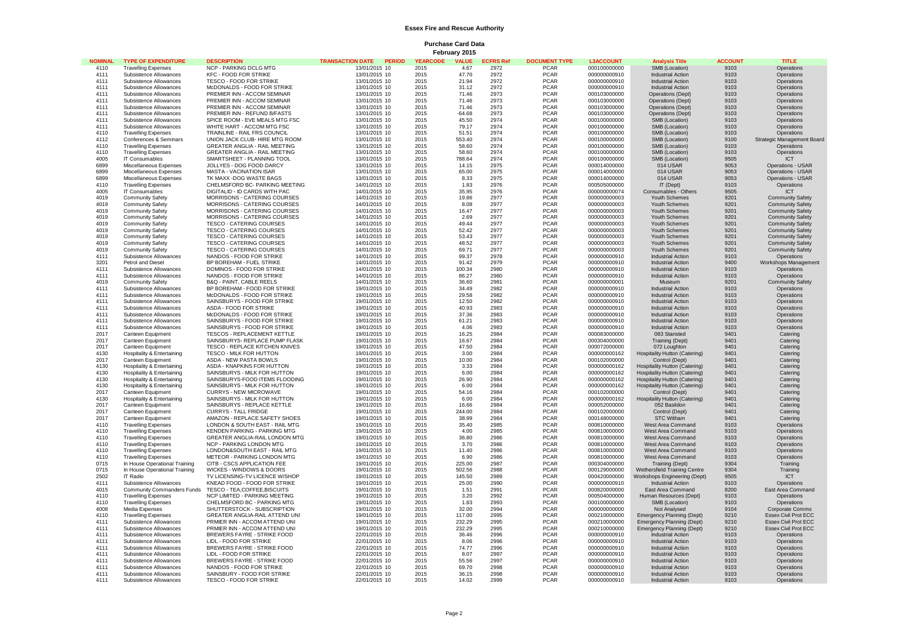## **Essex Fire and Rescue Authority**

**Purchase Card Data February 2015**

| <b>NOMINAL</b> | <b>TYPE OF EXPENDITURE</b>    | <b>DESCRIPTION</b>                    | TRANSACTION DATE PERIOD | <b>YEARCODE</b> | <b>VALUE</b> | <b>ECFRS Ref</b> | <b>DOCUMENT TYPE</b> | <b>L3ACCOUNT</b> | <b>Analysis Title</b>                | <b>ACCOUNT</b> | <b>TITLE</b>                |
|----------------|-------------------------------|---------------------------------------|-------------------------|-----------------|--------------|------------------|----------------------|------------------|--------------------------------------|----------------|-----------------------------|
|                |                               |                                       |                         |                 |              |                  |                      |                  |                                      |                |                             |
| 4110           | <b>Travelling Expenses</b>    | NCP - PARKING DCLG MTG                | 13/01/2015 10           | 2015            | 4.67         | 2972             | <b>PCAR</b>          | 000100000000     | SMB (Location)                       | 9103           | Operations                  |
| 4111           | Subsistence Allowances        | <b>KFC - FOOD FOR STRIKE</b>          | 13/01/2015 10           | 2015            | 47.70        | 2972             | <b>PCAR</b>          | 000000000910     | Industrial Action                    | 9103           | Operations                  |
| 4111           | Subsistence Allowances        | TESCO - FOOD FOR STRIKE               | 13/01/2015 10           | 2015            | 21.94        | 2972             | <b>PCAR</b>          | 000000000910     | <b>Industrial Action</b>             | 9103           | Operations                  |
| 4111           | Subsistence Allowances        | McDONALDS - FOOD FOR STRIKE           | 13/01/2015 10           | 2015            | 31.12        | 2972             | <b>PCAR</b>          | 000000000910     | <b>Industrial Action</b>             | 9103           | Operations                  |
| 4111           | Subsistence Allowances        | PREMIER INN - ACCOM SEMINAR           | 13/01/2015 10           | 2015            | 71.46        | 2973             | <b>PCAR</b>          | 000103000000     | Operations (Dept)                    | 9103           | Operations                  |
| 4111           | Subsistence Allowances        | PREMIER INN - ACCOM SEMINAR           | 13/01/2015 10           | 2015            | 71.46        | 2973             | <b>PCAR</b>          | 000103000000     | Operations (Dept)                    | 9103           | Operations                  |
| 4111           | Subsistence Allowances        | PREMIER INN - ACCOM SEMINAR           | 13/01/2015 10           | 2015            | 71.46        | 2973             | PCAR                 | 000103000000     | Operations (Dept)                    | 9103           | Operations                  |
| 4111           | Subsistence Allowances        | PREMIER INN - REFUND B/FASTS          | 13/01/2015 10           | 2015            | $-64.68$     | 2973             | <b>PCAR</b>          | 000103000000     | <b>Operations (Dept)</b>             | 9103           | Operations                  |
| 4111           | Subsistence Allowances        | SPICE ROOM - EVE MEALS MTG FSC        | 13/01/2015 10           | 2015            | 45.50        | 2974             | <b>PCAR</b>          | 000100000000     | SMB (Location)                       | 9103           | Operations                  |
|                |                               |                                       |                         |                 |              |                  |                      |                  |                                      |                |                             |
| 4111           | Subsistence Allowances        | WHITE HART - ACCOM MTG FSC            | 13/01/2015 10           | 2015            | 79.17        | 2974             | <b>PCAR</b>          | 000100000000     | SMB (Location)                       | 9103           | Operations                  |
| 4110           | <b>Travelling Expenses</b>    | TRAINLINE - RAIL FRS COUNCIL          | 13/01/2015 10           | 2015            | 51.51        | 2974             | <b>PCAR</b>          | 000100000000     | SMB (Location)                       | 9103           | Operations                  |
| 4112           | Conferences & Seminars        | UNION JACK CLUB- HIRE MTG ROOM        | 13/01/2015 10           | 2015            | 553.40       | 2974             | <b>PCAR</b>          | 000100000000     | SMB (Location)                       | 9100           | Strategic Management Board  |
| 4110           | <b>Travelling Expenses</b>    | <b>GREATER ANGLIA - RAIL MEETING</b>  | 13/01/2015 10           | 2015            | 58.60        | 2974             | <b>PCAR</b>          | 000100000000     | SMB (Location)                       | 9103           | Operations                  |
| 4110           | <b>Travelling Expenses</b>    | GREATER ANGLIA - RAIL MEETING         | 13/01/2015 10           | 2015            | 58.60        | 2974             | <b>PCAR</b>          | 000100000000     | SMB (Location)                       | 9103           | Operations                  |
| 4005           | IT Consumables                | SMARTSHEET - PLANNING TOOL            | 13/01/2015 10           | 2015            | 788.64       | 2974             | <b>PCAR</b>          | 000100000000     | SMB (Location)                       | 9505           | ICT                         |
| 6899           | Miscellaneous Expenses        | JOLLYES - DOG FOOD DARCY              | 13/01/2015 10           | 2015            | 14.15        | 2975             | <b>PCAR</b>          | 000014000000     | 014 USAR                             | 9053           | Operations - USAR           |
| 6899           | Miscellaneous Expenses        | <b>MASTA - VACINATION ISAR</b>        | 13/01/2015 10           | 2015            | 65.00        | 2975             | <b>PCAR</b>          | 000014000000     | 014 USAR                             | 9053           | <b>Operations - USAR</b>    |
| 6899           | Miscellaneous Expenses        | TK MAXX -DOG WASTE BAGS               | 13/01/2015 10           | 2015            | 8.33         | 2975             | <b>PCAR</b>          | 000014000000     | 014 USAR                             | 9053           | Operations - USAR           |
|                |                               |                                       |                         |                 |              |                  |                      |                  |                                      |                |                             |
| 4110           | <b>Travelling Expenses</b>    | CHELMSFORD BC- PARKING MEETING        | 14/01/2015 10           | 2015            | 1.83         | 2976             | <b>PCAR</b>          | 000505000000     | IT (Dept)                            | 9103           | Operations                  |
| 4005           | <b>IT Consumables</b>         | DIGITALID - ID CARDS WITH PAC         | 14/01/2015 10           | 2015            | 35.95        | 2976             | <b>PCAR</b>          | 000000000074     | Consumables - Others                 | 9505           | <b>ICT</b>                  |
| 4019           | <b>Community Safety</b>       | MORRISONS - CATERING COURSES          | 14/01/2015 10           | 2015            | 19.86        | 2977             | <b>PCAR</b>          | 000000000003     | Youth Schemes                        | 9201           | <b>Community Safety</b>     |
| 4019           | <b>Community Safety</b>       | MORRISONS - CATERING COURSES          | 14/01/2015 10           | 2015            | 8.08         | 2977             | <b>PCAR</b>          | 000000000003     | Youth Schemes                        | 9201           | <b>Community Safety</b>     |
| 4019           | <b>Community Safety</b>       | MORRISONS - CATERING COURSES          | 14/01/2015 10           | 2015            | 16.47        | 2977             | <b>PCAR</b>          | 000000000003     | Youth Schemes                        | 9201           | <b>Community Safety</b>     |
| 4019           | <b>Community Safety</b>       | MORRISONS - CATERING COURSES          | 14/01/2015 10           | 2015            | 2.69         | 2977             | <b>PCAR</b>          | 000000000003     | Youth Schemes                        | 9201           | <b>Community Safety</b>     |
| 4019           | Community Safety              | TESCO - CATERING COURSES              | 14/01/2015 10           | 2015            | 49.44        | 2977             | <b>PCAR</b>          | 000000000003     | Youth Schemes                        | 9201           | <b>Community Safety</b>     |
| 4019           | <b>Community Safety</b>       | TESCO - CATERING COURSES              | 14/01/2015 10           | 2015            | 52.42        | 2977             | <b>PCAR</b>          | 000000000003     | Youth Schemes                        | 9201           | <b>Community Safety</b>     |
| 4019           | Community Safety              | <b>TESCO - CATERING COURSES</b>       | 14/01/2015 10           | 2015            | 53.43        | 2977             | <b>PCAR</b>          | 000000000003     | Youth Schemes                        | 9201           | <b>Community Safety</b>     |
|                |                               |                                       |                         |                 |              |                  |                      |                  |                                      |                |                             |
| 4019           | <b>Community Safety</b>       | <b>TESCO - CATERING COURSES</b>       | 14/01/2015 10           | 2015            | 48.52        | 2977             | <b>PCAR</b>          | 000000000003     | Youth Schemes                        | 9201           | <b>Community Safety</b>     |
| 4019           | <b>Community Safety</b>       | <b>TESCO - CATERING COURSES</b>       | 14/01/2015 10           | 2015            | 69.71        | 2977             | <b>PCAR</b>          | 000000000003     | Youth Schemes                        | 9201           | <b>Community Safety</b>     |
| 4111           | Subsistence Allowances        | NANDOS - FOOD FOR STRIKE              | 14/01/2015 10           | 2015            | 99.37        | 2978             | <b>PCAR</b>          | 000000000910     | Industrial Action                    | 9103           | Operations                  |
| 3201           | Petrol and Diesel             | BP BOREHAM - FUEL STRIKE              | 14/01/2015 10           | 2015            | 91.42        | 2979             | <b>PCAR</b>          | 000000000910     | <b>Industrial Action</b>             | 9400           | Workshops Management        |
| 4111           | Subsistence Allowances        | DOMINOS - FOOD FOR STRIKE             | 14/01/2015 10           | 2015            | 100.34       | 2980             | <b>PCAR</b>          | 000000000910     | <b>Industrial Action</b>             | 9103           | Operations                  |
| 4111           | Subsistence Allowances        | NANDOS - FOOD FOR STRIKE              | 14/01/2015 10           | 2015            | 86.27        | 2980             | <b>PCAR</b>          | 000000000910     | Industrial Action                    | 9103           | Operations                  |
| 4019           |                               |                                       |                         | 2015            |              | 2981             |                      |                  |                                      |                |                             |
|                | <b>Community Safety</b>       | B&Q - PAINT, CABLE REELS              | 14/01/2015 10           |                 | 36.60        |                  | <b>PCAR</b>          | 000000000001     | Museum                               | 9201           | <b>Community Safety</b>     |
| 4111           | Subsistence Allowances        | BP BOREHAM - FOOD FOR STRIKE          | 19/01/2015 10           | 2015            | 34.49        | 2982             | <b>PCAR</b>          | 000000000910     | <b>Industrial Action</b>             | 9103           | Operations                  |
| 4111           | Subsistence Allowances        | McDONALDS - FOOD FOR STRIKE           | 19/01/2015 10           | 2015            | 29.58        | 2982             | <b>PCAR</b>          | 000000000910     | Industrial Action                    | 9103           | Operations                  |
| 4111           | Subsistence Allowances        | SAINSBURYS - FOOD FOR STRIKE          | 19/01/2015 10           | 2015            | 12.50        | 2982             | <b>PCAR</b>          | 000000000910     | <b>Industrial Action</b>             | 9103           | Operations                  |
| 4111           | Subsistence Allowances        | ASDA - FOOD FOR STRIKE                | 19/01/2015 10           | 2015            | 40.93        | 2983             | <b>PCAR</b>          | 000000000910     | <b>Industrial Action</b>             | 9103           | Operations                  |
| 4111           | Subsistence Allowances        | McDONALDS - FOOD FOR STRIKE           | 19/01/2015 10           | 2015            | 37.36        | 2983             | <b>PCAR</b>          | 000000000910     | Industrial Action                    | 9103           | Operations                  |
| 4111           | Subsistence Allowances        | SAINSBURYS - FOOD FOR STRIKE          | 19/01/2015 10           | 2015            | 61.21        | 2983             | <b>PCAR</b>          | 000000000910     | <b>Industrial Action</b>             | 9103           | Operations                  |
| 4111           | Subsistence Allowances        | SAINSBURYS - FOOD FOR STRIKE          | 19/01/2015 10           | 2015            | 4.06         | 2983             | <b>PCAR</b>          | 000000000910     | <b>Industrial Action</b>             | 9103           | Operations                  |
| 2017           | Canteen Equipment             | TESCOS - REPLACEMENT KETTLE           | 19/01/2015 10           | 2015            | 16.25        | 2984             | <b>PCAR</b>          | 000083000000     | 083 Stansted                         | 9401           | Catering                    |
| 2017           |                               |                                       |                         | 2015            |              | 2984             | <b>PCAR</b>          |                  |                                      | 9401           |                             |
|                | Canteen Equipment             | SAINSBURYS- REPLACE PUMP FLASK        | 19/01/2015 10           |                 | 16.67        |                  |                      | 000304000000     | Training (Dept)                      |                | Catering                    |
| 2017           | Canteen Equipment             | TESCO - REPLACE KITCHEN KNIVES        | 19/01/2015 10           | 2015            | 47.50        | 2984             | <b>PCAR</b>          | 000072000000     | 072 Loughton                         | 9401           | Catering                    |
| 4130           | Hospitality & Entertaining    | TESCO - MILK FOR HUTTON               | 19/01/2015 10           | 2015            | 3.00         | 2984             | <b>PCAR</b>          | 000000000162     | Hospitality Hutton (Catering)        | 9401           | Catering                    |
| 2017           | Canteen Equipment             | ASDA - NEW PASTA BOWLS                | 19/01/2015 10           | 2015            | 10.00        | 2984             | <b>PCAR</b>          | 000102000000     | Control (Dept)                       | 9401           | Catering                    |
| 4130           | Hospitality & Entertaining    | ASDA - KNAPKINS FOR HUTTON            | 19/01/2015 10           | 2015            | 3.33         | 2984             | <b>PCAR</b>          | 000000000162     | Hospitality Hutton (Catering)        | 9401           | Catering                    |
| 4130           | Hospitality & Entertaining    | SAINSBURYS - MILK FOR HUTTON          | 19/01/2015 10           | 2015            | 6.00         | 2984             | <b>PCAR</b>          | 000000000162     | <b>Hospitality Hutton (Catering)</b> | 9401           | Catering                    |
| 4130           | Hospitality & Entertaining    | SAINSBURYS-FOOD ITEMS FLOODING        | 19/01/2015 10           | 2015            | 26.90        | 2984             | <b>PCAR</b>          | 000000000162     | <b>Hospitality Hutton (Catering)</b> | 9401           | Catering                    |
| 4130           | Hospitality & Entertaining    | SAINSBURYS - MILK FOR HUTTON          | 19/01/2015 10           | 2015            | 6.00         | 2984             | <b>PCAR</b>          | 000000000162     | <b>Hospitality Hutton (Catering)</b> | 9401           | Catering                    |
| 2017           | Canteen Equipment             | CURRYS - NEW MICROWAVE                | 19/01/2015 10           | 2015            | 54.16        | 2984             | <b>PCAR</b>          | 000102000000     | Control (Dept)                       | 9401           | Catering                    |
|                |                               |                                       |                         |                 |              |                  |                      |                  |                                      |                |                             |
| 4130           | Hospitality & Entertaining    | SAINSBURYS - MILK FOR HUTTON          | 19/01/2015 10           | 2015            | 6.00         | 2984             | <b>PCAR</b>          | 000000000162     | <b>Hospitality Hutton (Catering)</b> | 9401           | Catering                    |
| 2017           | Canteen Equipment             | SAINSBURYS - REPLACE KETTLE           | 19/01/2015 10           | 2015            | 16.66        | 2984             | <b>PCAR</b>          | 000052000000     | 052 Basildon                         | 9401           | Catering                    |
| 2017           | Canteen Equipment             | <b>CURRYS - TALL FRIDGE</b>           | 19/01/2015 10           | 2015            | 244.00       | 2984             | <b>PCAR</b>          | 000102000000     | Control (Dept)                       | 9401           | Catering                    |
| 2017           | Canteen Equipment             | AMAZON - REPLACE SAFETY SHOES         | 19/01/2015 10           | 2015            | 38.99        | 2984             | <b>PCAR</b>          | 000148000000     | STC Witham                           | 9401           | Catering                    |
| 4110           | <b>Travelling Expenses</b>    | LONDON & SOUTH EAST - RAIL MTG        | 19/01/2015 10           | 2015            | 35.40        | 2985             | <b>PCAR</b>          | 000810000000     | West Area Command                    | 9103           | Operations                  |
| 4110           | <b>Travelling Expenses</b>    | KENDEN PARKING - PARKING MTG          | 19/01/2015 10           | 2015            | 4.00         | 2985             | <b>PCAR</b>          | 000810000000     | West Area Command                    | 9103           | Operations                  |
| 4110           | <b>Travelling Expenses</b>    | GREATER ANGLIA-RAIL LONDON MTG        | 19/01/2015 10           | 2015            | 36.80        | 2986             | <b>PCAR</b>          | 000810000000     | West Area Command                    | 9103           | Operations                  |
| 4110           | <b>Travelling Expenses</b>    | NCP - PARKING LONDON MTG              | 19/01/2015 10           | 2015            | 3.70         | 2986             | <b>PCAR</b>          | 000810000000     | West Area Command                    | 9103           | Operations                  |
| 4110           |                               | LONDON&SOUTH EAST - RAIL MTG          | 19/01/2015 10           | 2015            | 11.40        | 2986             | <b>PCAR</b>          | 000810000000     | West Area Command                    | 9103           | Operations                  |
|                | <b>Travelling Expenses</b>    |                                       |                         |                 |              |                  |                      |                  |                                      |                |                             |
| 4110           | <b>Travelling Expenses</b>    | METEOR - PARKING LONDON MTG           | 19/01/2015 10           | 2015            | 6.90         | 2986             | <b>PCAR</b>          | 000810000000     | West Area Command                    | 9103           | Operations                  |
| 0715           | In House Operational Training | CITB - CSCS APPLICATION FEE           | 19/01/2015 10           | 2015            | 225.00       | 2987             | <b>PCAR</b>          | 000304000000     | Training (Dept)                      | 9304           | Training                    |
| 0715           | In House Operational Training | WICKES - WINDOWS & DOORS              | 19/01/2015 10           | 2015            | 502.56       | 2988             | <b>PCAR</b>          | 000129000000     | Wethersfield Training Centre         | 9304           | Training                    |
| 2502           | IT Radio                      | TV LICENSING-TV LICENCE W/SHOP        | 19/01/2015 10           | 2015            | 145.50       | 2989             | <b>PCAR</b>          | 000420000000     | Workshops Engineering (Dept)         | 9505           | <b>ICT</b>                  |
| 4111           | Subsistence Allowances        | KNEAD FOOD - FOOD FOR STRIKE          | 19/01/2015 10           | 2015            | 25.00        | 2990             | <b>PCAR</b>          | 000000000910     | <b>Industrial Action</b>             | 9103           | Operations                  |
| 4015           | Community Commanders Funds    | TESCO - TEA,COFFEE,BISCUITS           | 19/01/2015 10           | 2015            | 1.51         | 2991             | <b>PCAR</b>          | 000820000000     | East Area Command                    | 8200           | East Area Command           |
| 4110           | <b>Travelling Expenses</b>    | NCP LIMITED - PARKING MEETING         | 19/01/2015 10           | 2015            | 3.20         | 2992             | <b>PCAR</b>          | 000504000000     | Human Resources (Dept)               | 9103           | Operations                  |
| 4110           | <b>Travelling Expenses</b>    | CHELMSFORD BC - PARKING MTG           | 19/01/2015 10           | 2015            | 1.83         | 2993             | <b>PCAR</b>          | 000100000000     | SMB (Location)                       | 9103           | Operations                  |
|                |                               |                                       |                         |                 |              |                  | <b>PCAR</b>          |                  |                                      |                |                             |
| 4008           | Media Expenses                | SHUTTERSTOCK - SUBSCRIPTION           | 19/01/2015 10           | 2015            | 32.00        | 2994             |                      | 000000000000     | Not Analysed                         | 9104           | Corporate Comms             |
| 4110           | <b>Travelling Expenses</b>    | <b>GREATER ANGLIA-RAIL ATTEND UNI</b> | 19/01/2015 10           | 2015            | 117.00       | 2995             | <b>PCAR</b>          | 000210000000     | Emergency Planning (Dept)            | 9210           | <b>Essex Civil Prot ECC</b> |
| 4111           | Subsistence Allowances        | PRMIER INN - ACCOM ATTEND UNI         | 19/01/2015 10           | 2015            | 232.29       | 2995             | <b>PCAR</b>          | 000210000000     | Emergency Planning (Dept)            | 9210           | <b>Essex Civil Prot ECC</b> |
| 4111           | Subsistence Allowances        | PRMIER INN - ACCOM ATTEND UNI         | 19/01/2015 10           | 2015            | 232.29       | 2995             | <b>PCAR</b>          | 000210000000     | Emergency Planning (Dept)            | 9210           | <b>Essex Civil Prot ECC</b> |
| 4111           | Subsistence Allowances        | <b>BREWERS FAYRE - STRIKE FOOD</b>    | 22/01/2015 10           | 2015            | 36.46        | 2996             | <b>PCAR</b>          | 000000000910     | <b>Industrial Action</b>             | 9103           | Operations                  |
| 4111           | Subsistence Allowances        | LIDL - FOOD FOR STRIKE                | 22/01/2015 10           | 2015            | 8.06         | 2996             | <b>PCAR</b>          | 000000000910     | <b>Industrial Action</b>             | 9103           | Operations                  |
| 4111           | Subsistence Allowances        | <b>BREWERS FAYRE - STRIKE FOOD</b>    | 22/01/2015 10           | 2015            | 74.77        | 2996             | <b>PCAR</b>          | 000000000910     | <b>Industrial Action</b>             | 9103           | Operations                  |
| 4111           | Subsistence Allowances        | LIDL - FOOD FOR STRIKE                | 22/01/2015 10           | 2015            | 8.07         | 2997             | <b>PCAR</b>          | 000000000910     | Industrial Action                    | 9103           | Operations                  |
| 4111           | Subsistence Allowances        | BREWERS FAYRE - STRIKE FOOD           | 22/01/2015 10           | 2015            | 55.56        | 2997             | <b>PCAR</b>          | 000000000910     | <b>Industrial Action</b>             | 9103           | Operations                  |
|                |                               |                                       |                         |                 |              |                  |                      |                  |                                      |                |                             |
| 4111           | Subsistence Allowances        | NANDOS - FOOD FOR STRIKE              | 22/01/2015 10           | 2015            | 69.70        | 2998             | <b>PCAR</b>          | 000000000910     | <b>Industrial Action</b>             | 9103           | Operations                  |
| 4111           | Subsistence Allowances        | SAINSBURY - FOOD FOR STRIKE           | 22/01/2015 10           | 2015            | 36.15        | 2998             | <b>PCAR</b>          | 000000000910     | Industrial Action                    | 9103           | Operations                  |
| 4111           | Subsistence Allowances        | TESCO - FOOD FOR STRIKE               | 22/01/2015 10           | 2015            | 14.02        | 2999             | <b>PCAR</b>          | 000000000910     | <b>Industrial Action</b>             | 9103           | Operations                  |